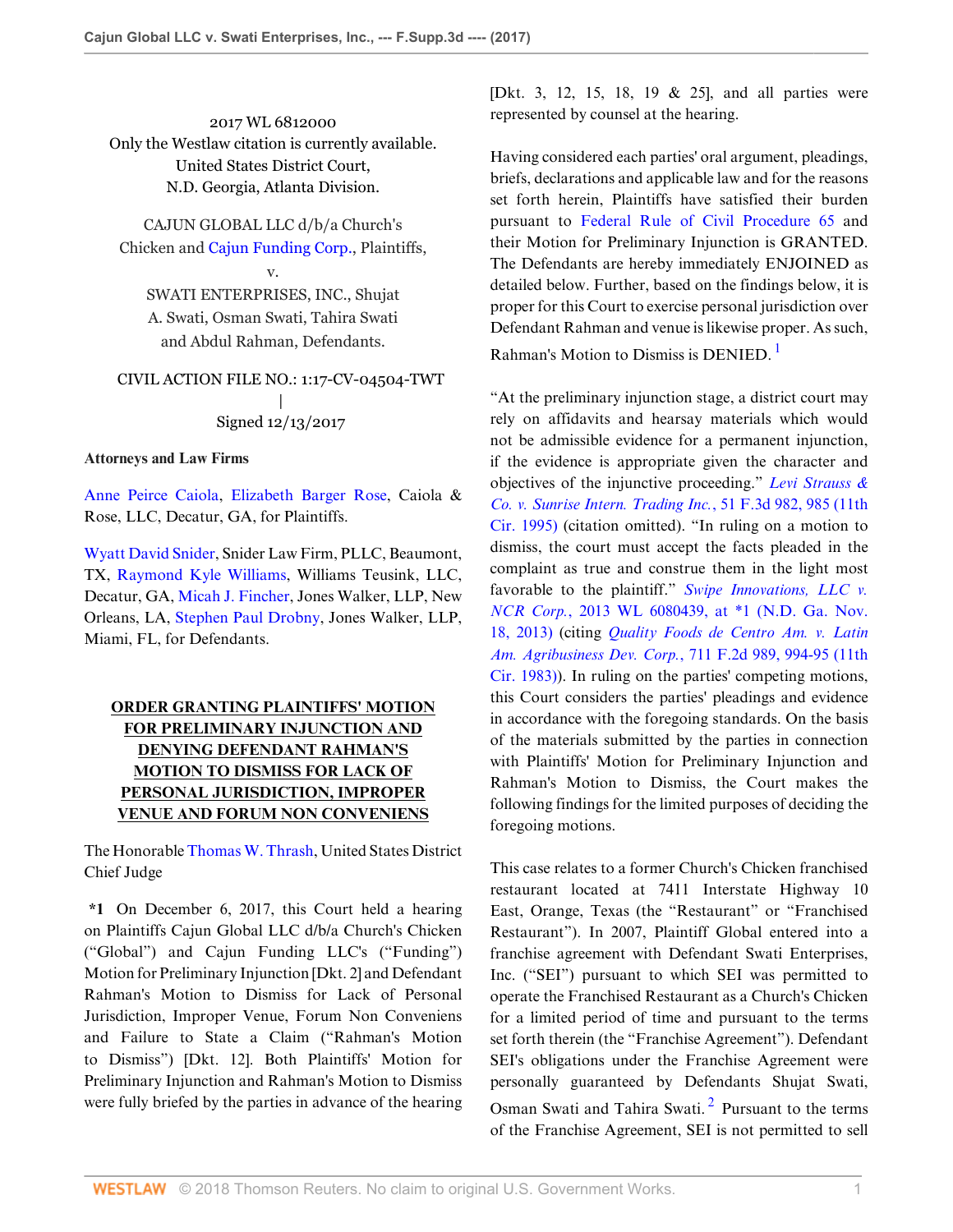2017 WL 6812000 Only the Westlaw citation is currently available. United States District Court, N.D. Georgia, Atlanta Division.

CAJUN GLOBAL LLC d/b/a Church's Chicken and [Cajun Funding Corp.](http://www.westlaw.com/Search/Results.html?query=advanced%3a+OAID(5000603478)&saveJuris=False&contentType=BUSINESS-INVESTIGATOR&startIndex=1&contextData=(sc.Default)&categoryPageUrl=Home%2fCompanyInvestigator&originationContext=document&vr=3.0&rs=cblt1.0&transitionType=DocumentItem), Plaintiffs,

## v.

SWATI ENTERPRISES, INC., Shujat A. Swati, Osman Swati, Tahira Swati and Abdul Rahman, Defendants.

## CIVIL ACTION FILE NO.: 1:17-CV-04504-TWT | Signed 12/13/2017

### **Attorneys and Law Firms**

[Anne Peirce Caiola,](http://www.westlaw.com/Link/Document/FullText?findType=h&pubNum=176284&cite=0358921801&originatingDoc=I42a4a320f27911e7b393b8b5a0417f3d&refType=RQ&originationContext=document&vr=3.0&rs=cblt1.0&transitionType=DocumentItem&contextData=(sc.Default)) [Elizabeth Barger Rose,](http://www.westlaw.com/Link/Document/FullText?findType=h&pubNum=176284&cite=0501987899&originatingDoc=I42a4a320f27911e7b393b8b5a0417f3d&refType=RQ&originationContext=document&vr=3.0&rs=cblt1.0&transitionType=DocumentItem&contextData=(sc.Default)) Caiola & Rose, LLC, Decatur, GA, for Plaintiffs.

[Wyatt David Snider](http://www.westlaw.com/Link/Document/FullText?findType=h&pubNum=176284&cite=0419678201&originatingDoc=I42a4a320f27911e7b393b8b5a0417f3d&refType=RQ&originationContext=document&vr=3.0&rs=cblt1.0&transitionType=DocumentItem&contextData=(sc.Default)), Snider Law Firm, PLLC, Beaumont, TX, [Raymond Kyle Williams](http://www.westlaw.com/Link/Document/FullText?findType=h&pubNum=176284&cite=0326713901&originatingDoc=I42a4a320f27911e7b393b8b5a0417f3d&refType=RQ&originationContext=document&vr=3.0&rs=cblt1.0&transitionType=DocumentItem&contextData=(sc.Default)), Williams Teusink, LLC, Decatur, GA, [Micah J. Fincher](http://www.westlaw.com/Link/Document/FullText?findType=h&pubNum=176284&cite=0446186801&originatingDoc=I42a4a320f27911e7b393b8b5a0417f3d&refType=RQ&originationContext=document&vr=3.0&rs=cblt1.0&transitionType=DocumentItem&contextData=(sc.Default)), Jones Walker, LLP, New Orleans, LA, [Stephen Paul Drobny,](http://www.westlaw.com/Link/Document/FullText?findType=h&pubNum=176284&cite=0335636801&originatingDoc=I42a4a320f27911e7b393b8b5a0417f3d&refType=RQ&originationContext=document&vr=3.0&rs=cblt1.0&transitionType=DocumentItem&contextData=(sc.Default)) Jones Walker, LLP, Miami, FL, for Defendants.

# **ORDER GRANTING PLAINTIFFS' MOTION FOR PRELIMINARY INJUNCTION AND DENYING DEFENDANT RAHMAN'S MOTION TO DISMISS FOR LACK OF PERSONAL JURISDICTION, IMPROPER VENUE AND FORUM NON CONVENIENS**

The Honorable [Thomas W. Thrash,](http://www.westlaw.com/Link/Document/FullText?findType=h&pubNum=176284&cite=0145681801&originatingDoc=I42a4a320f27911e7b393b8b5a0417f3d&refType=RQ&originationContext=document&vr=3.0&rs=cblt1.0&transitionType=DocumentItem&contextData=(sc.Default)) United States District Chief Judge

**\*1** On December 6, 2017, this Court held a hearing on Plaintiffs Cajun Global LLC d/b/a Church's Chicken ("Global") and Cajun Funding LLC's ("Funding") Motion for Preliminary Injunction [Dkt. 2] and Defendant Rahman's Motion to Dismiss for Lack of Personal Jurisdiction, Improper Venue, Forum Non Conveniens and Failure to State a Claim ("Rahman's Motion to Dismiss") [Dkt. 12]. Both Plaintiffs' Motion for Preliminary Injunction and Rahman's Motion to Dismiss were fully briefed by the parties in advance of the hearing

[Dkt. 3, 12, 15, 18, 19 & 25], and all parties were represented by counsel at the hearing.

Having considered each parties' oral argument, pleadings, briefs, declarations and applicable law and for the reasons set forth herein, Plaintiffs have satisfied their burden pursuant to [Federal Rule of Civil Procedure 65](http://www.westlaw.com/Link/Document/FullText?findType=L&pubNum=1000600&cite=USFRCPR65&originatingDoc=I42a4a320f27911e7b393b8b5a0417f3d&refType=LQ&originationContext=document&vr=3.0&rs=cblt1.0&transitionType=DocumentItem&contextData=(sc.Default)) and their Motion for Preliminary Injunction is GRANTED. The Defendants are hereby immediately ENJOINED as detailed below. Further, based on the findings below, it is proper for this Court to exercise personal jurisdiction over Defendant Rahman and venue is likewise proper. As such, Rahman's Motion to Dismiss is DENIED. [1](#page-4-0)

<span id="page-0-0"></span>"At the preliminary injunction stage, a district court may rely on affidavits and hearsay materials which would not be admissible evidence for a permanent injunction, if the evidence is appropriate given the character and objectives of the injunctive proceeding." *[Levi Strauss &](http://www.westlaw.com/Link/Document/FullText?findType=Y&serNum=1995093904&pubNum=0000506&originatingDoc=I42a4a320f27911e7b393b8b5a0417f3d&refType=RP&fi=co_pp_sp_506_985&originationContext=document&vr=3.0&rs=cblt1.0&transitionType=DocumentItem&contextData=(sc.Default)#co_pp_sp_506_985) [Co. v. Sunrise Intern. Trading Inc.](http://www.westlaw.com/Link/Document/FullText?findType=Y&serNum=1995093904&pubNum=0000506&originatingDoc=I42a4a320f27911e7b393b8b5a0417f3d&refType=RP&fi=co_pp_sp_506_985&originationContext=document&vr=3.0&rs=cblt1.0&transitionType=DocumentItem&contextData=(sc.Default)#co_pp_sp_506_985)*, 51 F.3d 982, 985 (11th [Cir. 1995\)](http://www.westlaw.com/Link/Document/FullText?findType=Y&serNum=1995093904&pubNum=0000506&originatingDoc=I42a4a320f27911e7b393b8b5a0417f3d&refType=RP&fi=co_pp_sp_506_985&originationContext=document&vr=3.0&rs=cblt1.0&transitionType=DocumentItem&contextData=(sc.Default)#co_pp_sp_506_985) (citation omitted). "In ruling on a motion to dismiss, the court must accept the facts pleaded in the complaint as true and construe them in the light most favorable to the plaintiff." *[Swipe Innovations, LLC v.](http://www.westlaw.com/Link/Document/FullText?findType=Y&serNum=2031982009&pubNum=0000999&originatingDoc=I42a4a320f27911e7b393b8b5a0417f3d&refType=RP&originationContext=document&vr=3.0&rs=cblt1.0&transitionType=DocumentItem&contextData=(sc.Default)) NCR Corp.*[, 2013 WL 6080439, at \\*1 \(N.D. Ga. Nov.](http://www.westlaw.com/Link/Document/FullText?findType=Y&serNum=2031982009&pubNum=0000999&originatingDoc=I42a4a320f27911e7b393b8b5a0417f3d&refType=RP&originationContext=document&vr=3.0&rs=cblt1.0&transitionType=DocumentItem&contextData=(sc.Default)) [18, 2013\)](http://www.westlaw.com/Link/Document/FullText?findType=Y&serNum=2031982009&pubNum=0000999&originatingDoc=I42a4a320f27911e7b393b8b5a0417f3d&refType=RP&originationContext=document&vr=3.0&rs=cblt1.0&transitionType=DocumentItem&contextData=(sc.Default)) (citing *[Quality Foods de Centro Am. v. Latin](http://www.westlaw.com/Link/Document/FullText?findType=Y&serNum=1983134720&pubNum=0000350&originatingDoc=I42a4a320f27911e7b393b8b5a0417f3d&refType=RP&fi=co_pp_sp_350_994&originationContext=document&vr=3.0&rs=cblt1.0&transitionType=DocumentItem&contextData=(sc.Default)#co_pp_sp_350_994) [Am. Agribusiness Dev. Corp.](http://www.westlaw.com/Link/Document/FullText?findType=Y&serNum=1983134720&pubNum=0000350&originatingDoc=I42a4a320f27911e7b393b8b5a0417f3d&refType=RP&fi=co_pp_sp_350_994&originationContext=document&vr=3.0&rs=cblt1.0&transitionType=DocumentItem&contextData=(sc.Default)#co_pp_sp_350_994)*, 711 F.2d 989, 994-95 (11th [Cir. 1983\)](http://www.westlaw.com/Link/Document/FullText?findType=Y&serNum=1983134720&pubNum=0000350&originatingDoc=I42a4a320f27911e7b393b8b5a0417f3d&refType=RP&fi=co_pp_sp_350_994&originationContext=document&vr=3.0&rs=cblt1.0&transitionType=DocumentItem&contextData=(sc.Default)#co_pp_sp_350_994)). In ruling on the parties' competing motions, this Court considers the parties' pleadings and evidence in accordance with the foregoing standards. On the basis of the materials submitted by the parties in connection with Plaintiffs' Motion for Preliminary Injunction and Rahman's Motion to Dismiss, the Court makes the following findings for the limited purposes of deciding the foregoing motions.

<span id="page-0-1"></span>This case relates to a former Church's Chicken franchised restaurant located at 7411 Interstate Highway 10 East, Orange, Texas (the "Restaurant" or "Franchised Restaurant"). In 2007, Plaintiff Global entered into a franchise agreement with Defendant Swati Enterprises, Inc. ("SEI") pursuant to which SEI was permitted to operate the Franchised Restaurant as a Church's Chicken for a limited period of time and pursuant to the terms set forth therein (the "Franchise Agreement"). Defendant SEI's obligations under the Franchise Agreement were personally guaranteed by Defendants Shujat Swati, Osman Swati and Tahira Swati.<sup>[2](#page-4-1)</sup> Pursuant to the terms of the Franchise Agreement, SEI is not permitted to sell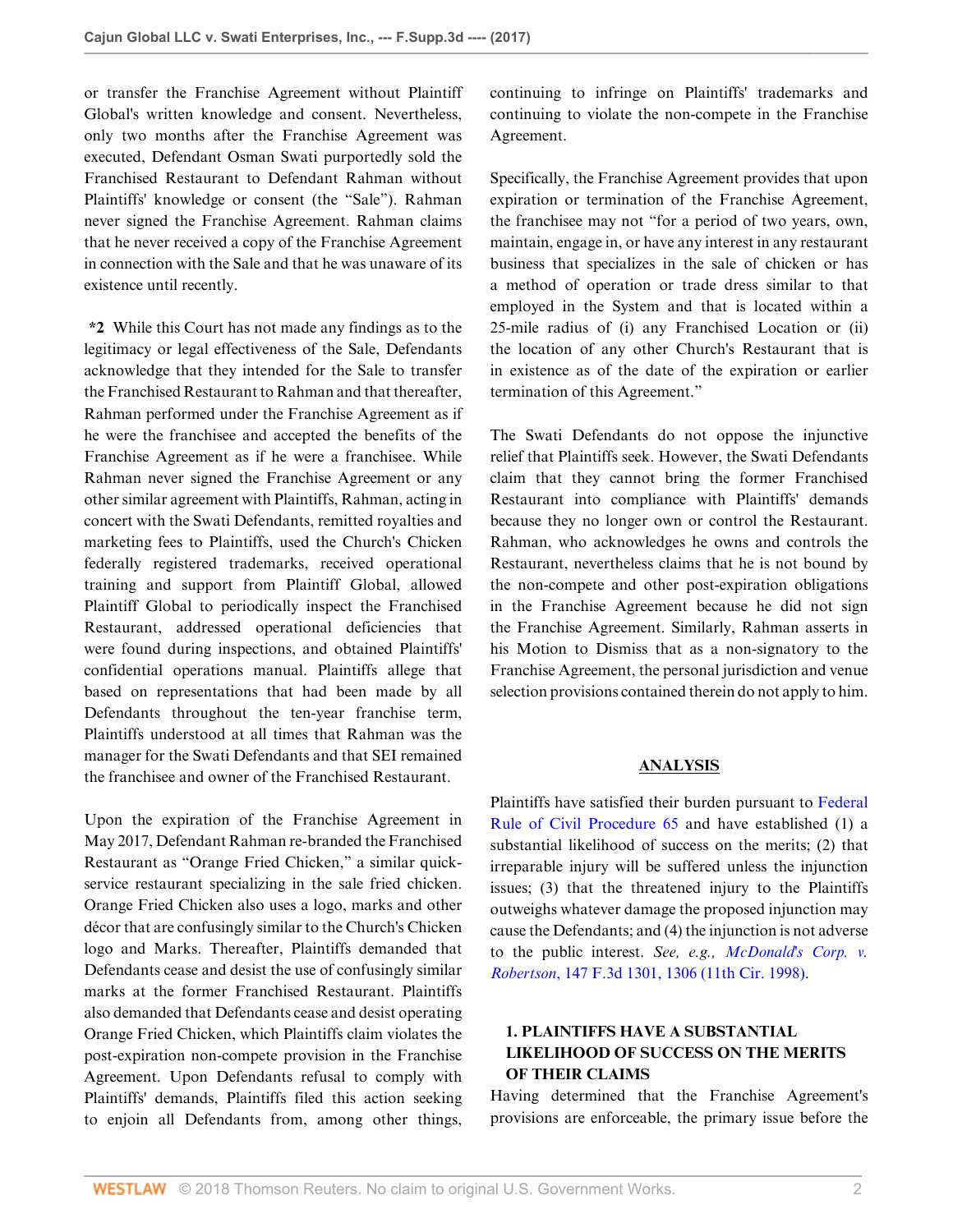or transfer the Franchise Agreement without Plaintiff Global's written knowledge and consent. Nevertheless, only two months after the Franchise Agreement was executed, Defendant Osman Swati purportedly sold the Franchised Restaurant to Defendant Rahman without Plaintiffs' knowledge or consent (the "Sale"). Rahman never signed the Franchise Agreement. Rahman claims that he never received a copy of the Franchise Agreement in connection with the Sale and that he was unaware of its existence until recently.

**\*2** While this Court has not made any findings as to the legitimacy or legal effectiveness of the Sale, Defendants acknowledge that they intended for the Sale to transfer the Franchised Restaurant to Rahman and that thereafter, Rahman performed under the Franchise Agreement as if he were the franchisee and accepted the benefits of the Franchise Agreement as if he were a franchisee. While Rahman never signed the Franchise Agreement or any other similar agreement with Plaintiffs, Rahman, acting in concert with the Swati Defendants, remitted royalties and marketing fees to Plaintiffs, used the Church's Chicken federally registered trademarks, received operational training and support from Plaintiff Global, allowed Plaintiff Global to periodically inspect the Franchised Restaurant, addressed operational deficiencies that were found during inspections, and obtained Plaintiffs' confidential operations manual. Plaintiffs allege that based on representations that had been made by all Defendants throughout the ten-year franchise term, Plaintiffs understood at all times that Rahman was the manager for the Swati Defendants and that SEI remained the franchisee and owner of the Franchised Restaurant.

Upon the expiration of the Franchise Agreement in May 2017, Defendant Rahman re-branded the Franchised Restaurant as "Orange Fried Chicken," a similar quickservice restaurant specializing in the sale fried chicken. Orange Fried Chicken also uses a logo, marks and other décor that are confusingly similar to the Church's Chicken logo and Marks. Thereafter, Plaintiffs demanded that Defendants cease and desist the use of confusingly similar marks at the former Franchised Restaurant. Plaintiffs also demanded that Defendants cease and desist operating Orange Fried Chicken, which Plaintiffs claim violates the post-expiration non-compete provision in the Franchise Agreement. Upon Defendants refusal to comply with Plaintiffs' demands, Plaintiffs filed this action seeking to enjoin all Defendants from, among other things,

continuing to infringe on Plaintiffs' trademarks and continuing to violate the non-compete in the Franchise Agreement.

Specifically, the Franchise Agreement provides that upon expiration or termination of the Franchise Agreement, the franchisee may not "for a period of two years, own, maintain, engage in, or have any interest in any restaurant business that specializes in the sale of chicken or has a method of operation or trade dress similar to that employed in the System and that is located within a 25-mile radius of (i) any Franchised Location or (ii) the location of any other Church's Restaurant that is in existence as of the date of the expiration or earlier termination of this Agreement."

The Swati Defendants do not oppose the injunctive relief that Plaintiffs seek. However, the Swati Defendants claim that they cannot bring the former Franchised Restaurant into compliance with Plaintiffs' demands because they no longer own or control the Restaurant. Rahman, who acknowledges he owns and controls the Restaurant, nevertheless claims that he is not bound by the non-compete and other post-expiration obligations in the Franchise Agreement because he did not sign the Franchise Agreement. Similarly, Rahman asserts in his Motion to Dismiss that as a non-signatory to the Franchise Agreement, the personal jurisdiction and venue selection provisions contained therein do not apply to him.

#### **ANALYSIS**

Plaintiffs have satisfied their burden pursuant to [Federal](http://www.westlaw.com/Link/Document/FullText?findType=L&pubNum=1000600&cite=USFRCPR65&originatingDoc=I42a4a320f27911e7b393b8b5a0417f3d&refType=LQ&originationContext=document&vr=3.0&rs=cblt1.0&transitionType=DocumentItem&contextData=(sc.Default)) [Rule of Civil Procedure 65](http://www.westlaw.com/Link/Document/FullText?findType=L&pubNum=1000600&cite=USFRCPR65&originatingDoc=I42a4a320f27911e7b393b8b5a0417f3d&refType=LQ&originationContext=document&vr=3.0&rs=cblt1.0&transitionType=DocumentItem&contextData=(sc.Default)) and have established (1) a substantial likelihood of success on the merits; (2) that irreparable injury will be suffered unless the injunction issues; (3) that the threatened injury to the Plaintiffs outweighs whatever damage the proposed injunction may cause the Defendants; and (4) the injunction is not adverse to the public interest. *See, e.g., [McDonald's Corp. v.](http://www.westlaw.com/Link/Document/FullText?findType=Y&serNum=1998158847&pubNum=0000506&originatingDoc=I42a4a320f27911e7b393b8b5a0417f3d&refType=RP&fi=co_pp_sp_506_1306&originationContext=document&vr=3.0&rs=cblt1.0&transitionType=DocumentItem&contextData=(sc.Default)#co_pp_sp_506_1306) Robertson*[, 147 F.3d 1301, 1306 \(11th Cir. 1998\)](http://www.westlaw.com/Link/Document/FullText?findType=Y&serNum=1998158847&pubNum=0000506&originatingDoc=I42a4a320f27911e7b393b8b5a0417f3d&refType=RP&fi=co_pp_sp_506_1306&originationContext=document&vr=3.0&rs=cblt1.0&transitionType=DocumentItem&contextData=(sc.Default)#co_pp_sp_506_1306).

# **1. PLAINTIFFS HAVE A SUBSTANTIAL LIKELIHOOD OF SUCCESS ON THE MERITS OF THEIR CLAIMS**

Having determined that the Franchise Agreement's provisions are enforceable, the primary issue before the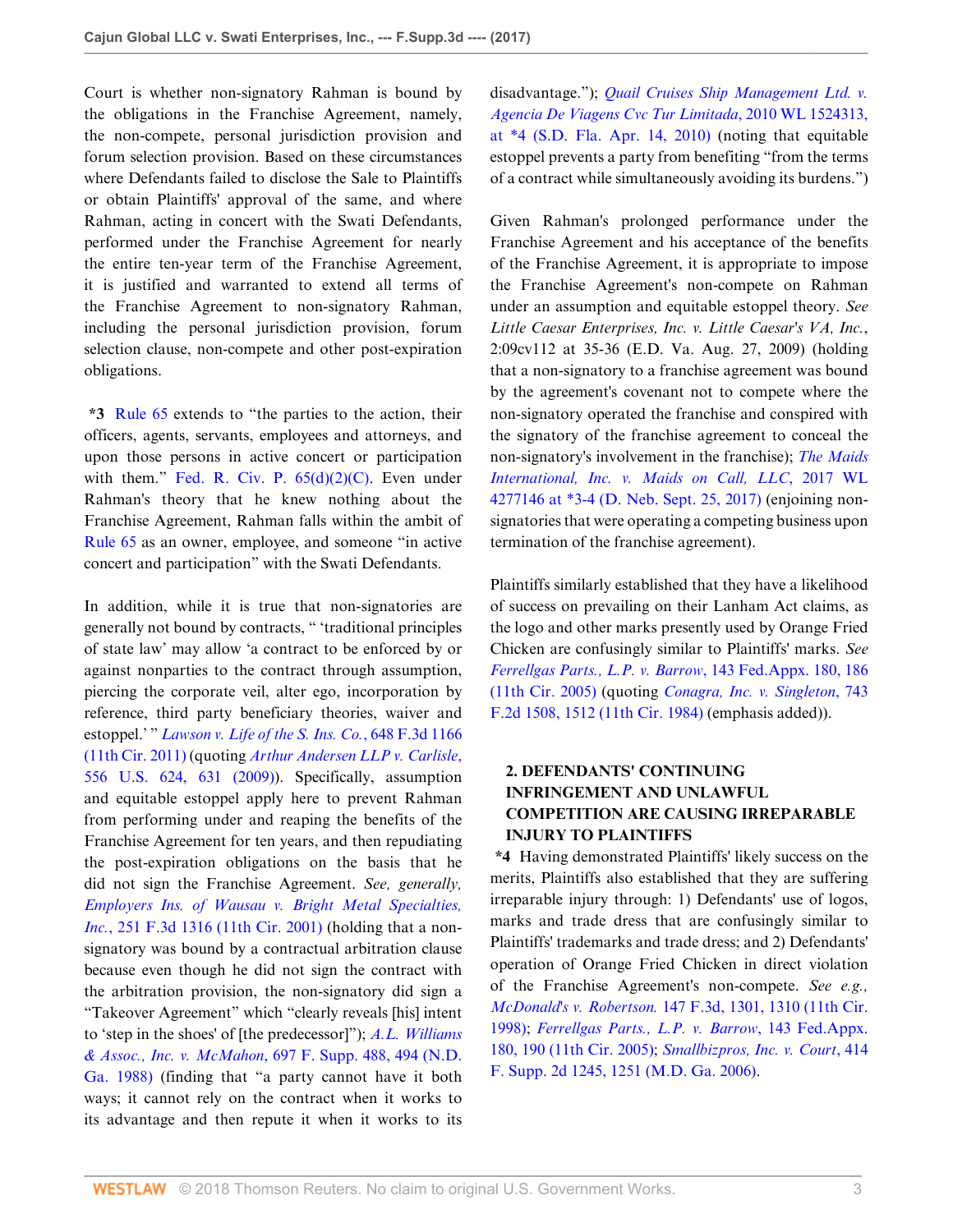Court is whether non-signatory Rahman is bound by the obligations in the Franchise Agreement, namely, the non-compete, personal jurisdiction provision and forum selection provision. Based on these circumstances where Defendants failed to disclose the Sale to Plaintiffs or obtain Plaintiffs' approval of the same, and where Rahman, acting in concert with the Swati Defendants, performed under the Franchise Agreement for nearly the entire ten-year term of the Franchise Agreement, it is justified and warranted to extend all terms of the Franchise Agreement to non-signatory Rahman, including the personal jurisdiction provision, forum selection clause, non-compete and other post-expiration obligations.

**\*3** [Rule 65](http://www.westlaw.com/Link/Document/FullText?findType=L&pubNum=1000600&cite=USFRCPR65&originatingDoc=I42a4a320f27911e7b393b8b5a0417f3d&refType=LQ&originationContext=document&vr=3.0&rs=cblt1.0&transitionType=DocumentItem&contextData=(sc.Default)) extends to "the parties to the action, their officers, agents, servants, employees and attorneys, and upon those persons in active concert or participation with them." Fed. R. Civ. P.  $65(d)(2)(C)$ . Even under Rahman's theory that he knew nothing about the Franchise Agreement, Rahman falls within the ambit of [Rule 65](http://www.westlaw.com/Link/Document/FullText?findType=L&pubNum=1000600&cite=USFRCPR65&originatingDoc=I42a4a320f27911e7b393b8b5a0417f3d&refType=LQ&originationContext=document&vr=3.0&rs=cblt1.0&transitionType=DocumentItem&contextData=(sc.Default)) as an owner, employee, and someone "in active concert and participation" with the Swati Defendants.

In addition, while it is true that non-signatories are generally not bound by contracts, " 'traditional principles of state law' may allow 'a contract to be enforced by or against nonparties to the contract through assumption, piercing the corporate veil, alter ego, incorporation by reference, third party beneficiary theories, waiver and estoppel.' " *[Lawson v. Life of the S. Ins. Co.](http://www.westlaw.com/Link/Document/FullText?findType=Y&serNum=2025844923&pubNum=0000506&originatingDoc=I42a4a320f27911e7b393b8b5a0417f3d&refType=RP&originationContext=document&vr=3.0&rs=cblt1.0&transitionType=DocumentItem&contextData=(sc.Default))*, 648 F.3d 1166 [\(11th Cir. 2011\)](http://www.westlaw.com/Link/Document/FullText?findType=Y&serNum=2025844923&pubNum=0000506&originatingDoc=I42a4a320f27911e7b393b8b5a0417f3d&refType=RP&originationContext=document&vr=3.0&rs=cblt1.0&transitionType=DocumentItem&contextData=(sc.Default)) (quoting *[Arthur Andersen LLP v. Carlisle](http://www.westlaw.com/Link/Document/FullText?findType=Y&serNum=2018732674&pubNum=0000780&originatingDoc=I42a4a320f27911e7b393b8b5a0417f3d&refType=RP&fi=co_pp_sp_780_631&originationContext=document&vr=3.0&rs=cblt1.0&transitionType=DocumentItem&contextData=(sc.Default)#co_pp_sp_780_631)*, [556 U.S. 624, 631 \(2009\)](http://www.westlaw.com/Link/Document/FullText?findType=Y&serNum=2018732674&pubNum=0000780&originatingDoc=I42a4a320f27911e7b393b8b5a0417f3d&refType=RP&fi=co_pp_sp_780_631&originationContext=document&vr=3.0&rs=cblt1.0&transitionType=DocumentItem&contextData=(sc.Default)#co_pp_sp_780_631)). Specifically, assumption and equitable estoppel apply here to prevent Rahman from performing under and reaping the benefits of the Franchise Agreement for ten years, and then repudiating the post-expiration obligations on the basis that he did not sign the Franchise Agreement. *See, generally, [Employers Ins. of Wausau v. Bright Metal Specialties,](http://www.westlaw.com/Link/Document/FullText?findType=Y&serNum=2001425649&pubNum=0000506&originatingDoc=I42a4a320f27911e7b393b8b5a0417f3d&refType=RP&originationContext=document&vr=3.0&rs=cblt1.0&transitionType=DocumentItem&contextData=(sc.Default)) Inc.*[, 251 F.3d 1316 \(11th Cir. 2001\)](http://www.westlaw.com/Link/Document/FullText?findType=Y&serNum=2001425649&pubNum=0000506&originatingDoc=I42a4a320f27911e7b393b8b5a0417f3d&refType=RP&originationContext=document&vr=3.0&rs=cblt1.0&transitionType=DocumentItem&contextData=(sc.Default)) (holding that a nonsignatory was bound by a contractual arbitration clause because even though he did not sign the contract with the arbitration provision, the non-signatory did sign a "Takeover Agreement" which "clearly reveals [his] intent to 'step in the shoes' of [the predecessor]"); *[A.L. Williams](http://www.westlaw.com/Link/Document/FullText?findType=Y&serNum=1988134254&pubNum=0000345&originatingDoc=I42a4a320f27911e7b393b8b5a0417f3d&refType=RP&fi=co_pp_sp_345_494&originationContext=document&vr=3.0&rs=cblt1.0&transitionType=DocumentItem&contextData=(sc.Default)#co_pp_sp_345_494) & Assoc., Inc. v. McMahon*[, 697 F. Supp. 488, 494 \(N.D.](http://www.westlaw.com/Link/Document/FullText?findType=Y&serNum=1988134254&pubNum=0000345&originatingDoc=I42a4a320f27911e7b393b8b5a0417f3d&refType=RP&fi=co_pp_sp_345_494&originationContext=document&vr=3.0&rs=cblt1.0&transitionType=DocumentItem&contextData=(sc.Default)#co_pp_sp_345_494) [Ga. 1988\)](http://www.westlaw.com/Link/Document/FullText?findType=Y&serNum=1988134254&pubNum=0000345&originatingDoc=I42a4a320f27911e7b393b8b5a0417f3d&refType=RP&fi=co_pp_sp_345_494&originationContext=document&vr=3.0&rs=cblt1.0&transitionType=DocumentItem&contextData=(sc.Default)#co_pp_sp_345_494) (finding that "a party cannot have it both ways; it cannot rely on the contract when it works to its advantage and then repute it when it works to its

disadvantage."); *[Quail Cruises Ship Management Ltd. v.](http://www.westlaw.com/Link/Document/FullText?findType=Y&serNum=2021777453&pubNum=0000999&originatingDoc=I42a4a320f27911e7b393b8b5a0417f3d&refType=RP&originationContext=document&vr=3.0&rs=cblt1.0&transitionType=DocumentItem&contextData=(sc.Default)) [Agencia De Viagens Cvc Tur Limitada](http://www.westlaw.com/Link/Document/FullText?findType=Y&serNum=2021777453&pubNum=0000999&originatingDoc=I42a4a320f27911e7b393b8b5a0417f3d&refType=RP&originationContext=document&vr=3.0&rs=cblt1.0&transitionType=DocumentItem&contextData=(sc.Default))*, 2010 WL 1524313, [at \\*4 \(S.D. Fla. Apr. 14, 2010\)](http://www.westlaw.com/Link/Document/FullText?findType=Y&serNum=2021777453&pubNum=0000999&originatingDoc=I42a4a320f27911e7b393b8b5a0417f3d&refType=RP&originationContext=document&vr=3.0&rs=cblt1.0&transitionType=DocumentItem&contextData=(sc.Default)) (noting that equitable estoppel prevents a party from benefiting "from the terms of a contract while simultaneously avoiding its burdens.")

Given Rahman's prolonged performance under the Franchise Agreement and his acceptance of the benefits of the Franchise Agreement, it is appropriate to impose the Franchise Agreement's non-compete on Rahman under an assumption and equitable estoppel theory. *See Little Caesar Enterprises, Inc. v. Little Caesar's VA, Inc.*, 2:09cv112 at 35-36 (E.D. Va. Aug. 27, 2009) (holding that a non-signatory to a franchise agreement was bound by the agreement's covenant not to compete where the non-signatory operated the franchise and conspired with the signatory of the franchise agreement to conceal the non-signatory's involvement in the franchise); *[The Maids](http://www.westlaw.com/Link/Document/FullText?findType=Y&serNum=2042743189&pubNum=0000999&originatingDoc=I42a4a320f27911e7b393b8b5a0417f3d&refType=RP&originationContext=document&vr=3.0&rs=cblt1.0&transitionType=DocumentItem&contextData=(sc.Default)) [International, Inc. v. Maids on Call, LLC](http://www.westlaw.com/Link/Document/FullText?findType=Y&serNum=2042743189&pubNum=0000999&originatingDoc=I42a4a320f27911e7b393b8b5a0417f3d&refType=RP&originationContext=document&vr=3.0&rs=cblt1.0&transitionType=DocumentItem&contextData=(sc.Default))*, 2017 WL [4277146 at \\*3-4 \(D. Neb. Sept. 25, 2017\)](http://www.westlaw.com/Link/Document/FullText?findType=Y&serNum=2042743189&pubNum=0000999&originatingDoc=I42a4a320f27911e7b393b8b5a0417f3d&refType=RP&originationContext=document&vr=3.0&rs=cblt1.0&transitionType=DocumentItem&contextData=(sc.Default)) (enjoining nonsignatories that were operating a competing business upon termination of the franchise agreement).

Plaintiffs similarly established that they have a likelihood of success on prevailing on their Lanham Act claims, as the logo and other marks presently used by Orange Fried Chicken are confusingly similar to Plaintiffs' marks. *See [Ferrellgas Parts., L.P. v. Barrow](http://www.westlaw.com/Link/Document/FullText?findType=Y&serNum=2006991709&pubNum=0006538&originatingDoc=I42a4a320f27911e7b393b8b5a0417f3d&refType=RP&fi=co_pp_sp_6538_186&originationContext=document&vr=3.0&rs=cblt1.0&transitionType=DocumentItem&contextData=(sc.Default)#co_pp_sp_6538_186)*, 143 Fed.Appx. 180, 186 [\(11th Cir. 2005\)](http://www.westlaw.com/Link/Document/FullText?findType=Y&serNum=2006991709&pubNum=0006538&originatingDoc=I42a4a320f27911e7b393b8b5a0417f3d&refType=RP&fi=co_pp_sp_6538_186&originationContext=document&vr=3.0&rs=cblt1.0&transitionType=DocumentItem&contextData=(sc.Default)#co_pp_sp_6538_186) (quoting *[Conagra, Inc. v. Singleton](http://www.westlaw.com/Link/Document/FullText?findType=Y&serNum=1984144660&pubNum=0000350&originatingDoc=I42a4a320f27911e7b393b8b5a0417f3d&refType=RP&fi=co_pp_sp_350_1512&originationContext=document&vr=3.0&rs=cblt1.0&transitionType=DocumentItem&contextData=(sc.Default)#co_pp_sp_350_1512)*, 743 [F.2d 1508, 1512 \(11th Cir. 1984\)](http://www.westlaw.com/Link/Document/FullText?findType=Y&serNum=1984144660&pubNum=0000350&originatingDoc=I42a4a320f27911e7b393b8b5a0417f3d&refType=RP&fi=co_pp_sp_350_1512&originationContext=document&vr=3.0&rs=cblt1.0&transitionType=DocumentItem&contextData=(sc.Default)#co_pp_sp_350_1512) (emphasis added)).

# **2. DEFENDANTS' CONTINUING INFRINGEMENT AND UNLAWFUL COMPETITION ARE CAUSING IRREPARABLE INJURY TO PLAINTIFFS**

**\*4** Having demonstrated Plaintiffs' likely success on the merits, Plaintiffs also established that they are suffering irreparable injury through: 1) Defendants' use of logos, marks and trade dress that are confusingly similar to Plaintiffs' trademarks and trade dress; and 2) Defendants' operation of Orange Fried Chicken in direct violation of the Franchise Agreement's non-compete. *See e.g., McDonald's v. Robertson.* [147 F.3d, 1301, 1310 \(11th Cir.](http://www.westlaw.com/Link/Document/FullText?findType=Y&serNum=1998158847&pubNum=0000506&originatingDoc=I42a4a320f27911e7b393b8b5a0417f3d&refType=RP&fi=co_pp_sp_506_1310&originationContext=document&vr=3.0&rs=cblt1.0&transitionType=DocumentItem&contextData=(sc.Default)#co_pp_sp_506_1310) [1998\)](http://www.westlaw.com/Link/Document/FullText?findType=Y&serNum=1998158847&pubNum=0000506&originatingDoc=I42a4a320f27911e7b393b8b5a0417f3d&refType=RP&fi=co_pp_sp_506_1310&originationContext=document&vr=3.0&rs=cblt1.0&transitionType=DocumentItem&contextData=(sc.Default)#co_pp_sp_506_1310); *[Ferrellgas Parts., L.P. v. Barrow](http://www.westlaw.com/Link/Document/FullText?findType=Y&serNum=2006991709&pubNum=0006538&originatingDoc=I42a4a320f27911e7b393b8b5a0417f3d&refType=RP&fi=co_pp_sp_6538_190&originationContext=document&vr=3.0&rs=cblt1.0&transitionType=DocumentItem&contextData=(sc.Default)#co_pp_sp_6538_190)*, 143 Fed.Appx. [180, 190 \(11th Cir. 2005\)](http://www.westlaw.com/Link/Document/FullText?findType=Y&serNum=2006991709&pubNum=0006538&originatingDoc=I42a4a320f27911e7b393b8b5a0417f3d&refType=RP&fi=co_pp_sp_6538_190&originationContext=document&vr=3.0&rs=cblt1.0&transitionType=DocumentItem&contextData=(sc.Default)#co_pp_sp_6538_190); *[Smallbizpros, Inc. v. Court](http://www.westlaw.com/Link/Document/FullText?findType=Y&serNum=2008365681&pubNum=0004637&originatingDoc=I42a4a320f27911e7b393b8b5a0417f3d&refType=RP&fi=co_pp_sp_4637_1251&originationContext=document&vr=3.0&rs=cblt1.0&transitionType=DocumentItem&contextData=(sc.Default)#co_pp_sp_4637_1251)*, 414 [F. Supp. 2d 1245, 1251 \(M.D. Ga. 2006\)](http://www.westlaw.com/Link/Document/FullText?findType=Y&serNum=2008365681&pubNum=0004637&originatingDoc=I42a4a320f27911e7b393b8b5a0417f3d&refType=RP&fi=co_pp_sp_4637_1251&originationContext=document&vr=3.0&rs=cblt1.0&transitionType=DocumentItem&contextData=(sc.Default)#co_pp_sp_4637_1251).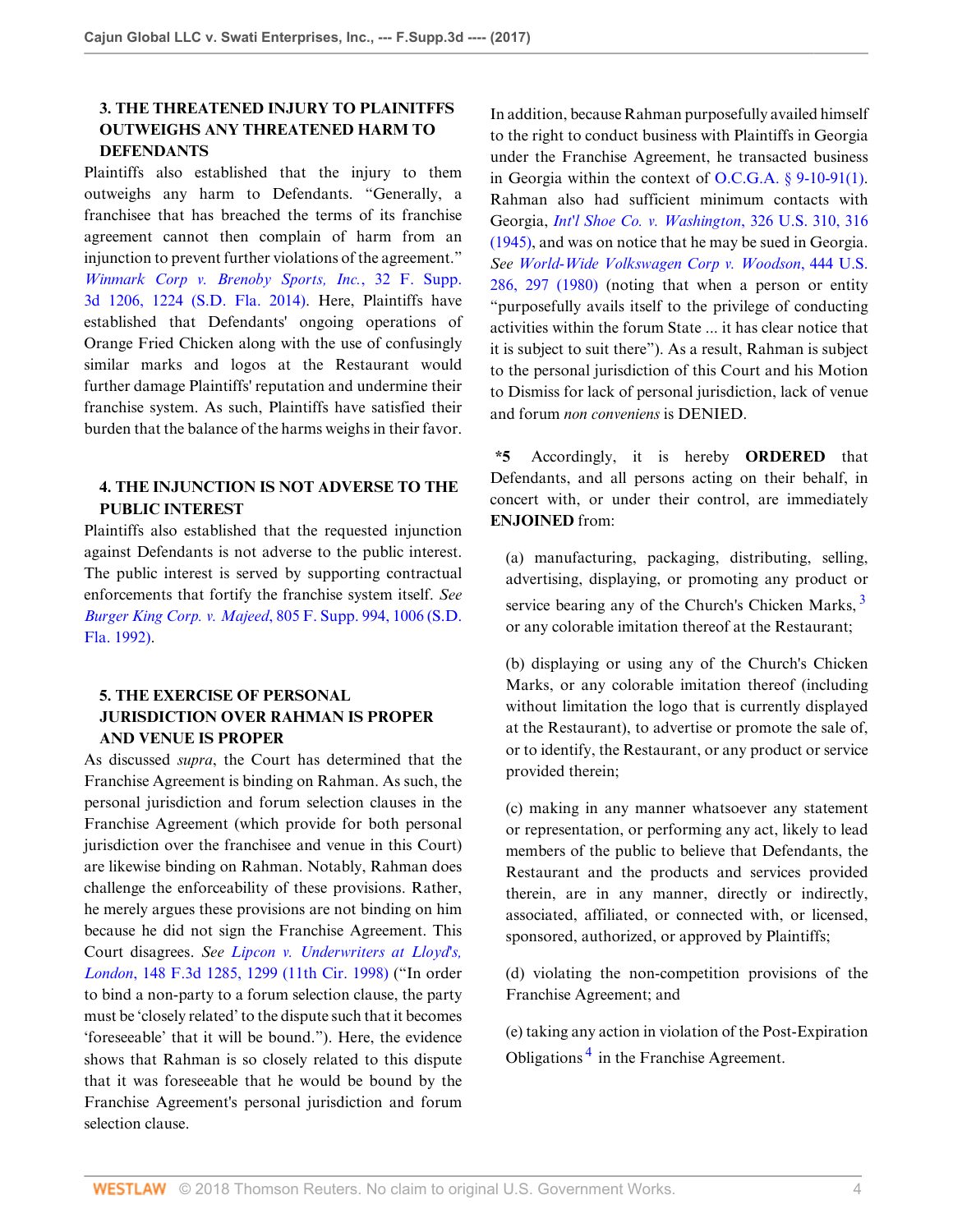# **3. THE THREATENED INJURY TO PLAINITFFS OUTWEIGHS ANY THREATENED HARM TO DEFENDANTS**

Plaintiffs also established that the injury to them outweighs any harm to Defendants. "Generally, a franchisee that has breached the terms of its franchise agreement cannot then complain of harm from an injunction to prevent further violations of the agreement." *[Winmark Corp v. Brenoby Sports, Inc.](http://www.westlaw.com/Link/Document/FullText?findType=Y&serNum=2033835214&pubNum=0007903&originatingDoc=I42a4a320f27911e7b393b8b5a0417f3d&refType=RP&fi=co_pp_sp_7903_1224&originationContext=document&vr=3.0&rs=cblt1.0&transitionType=DocumentItem&contextData=(sc.Default)#co_pp_sp_7903_1224)*, 32 F. Supp. [3d 1206, 1224 \(S.D. Fla. 2014\)](http://www.westlaw.com/Link/Document/FullText?findType=Y&serNum=2033835214&pubNum=0007903&originatingDoc=I42a4a320f27911e7b393b8b5a0417f3d&refType=RP&fi=co_pp_sp_7903_1224&originationContext=document&vr=3.0&rs=cblt1.0&transitionType=DocumentItem&contextData=(sc.Default)#co_pp_sp_7903_1224). Here, Plaintiffs have established that Defendants' ongoing operations of Orange Fried Chicken along with the use of confusingly similar marks and logos at the Restaurant would further damage Plaintiffs' reputation and undermine their franchise system. As such, Plaintiffs have satisfied their burden that the balance of the harms weighs in their favor.

## **4. THE INJUNCTION IS NOT ADVERSE TO THE PUBLIC INTEREST**

Plaintiffs also established that the requested injunction against Defendants is not adverse to the public interest. The public interest is served by supporting contractual enforcements that fortify the franchise system itself. *See Burger King Corp. v. Majeed*[, 805 F. Supp. 994, 1006 \(S.D.](http://www.westlaw.com/Link/Document/FullText?findType=Y&serNum=1992186418&pubNum=0000345&originatingDoc=I42a4a320f27911e7b393b8b5a0417f3d&refType=RP&fi=co_pp_sp_345_1006&originationContext=document&vr=3.0&rs=cblt1.0&transitionType=DocumentItem&contextData=(sc.Default)#co_pp_sp_345_1006) [Fla. 1992\).](http://www.westlaw.com/Link/Document/FullText?findType=Y&serNum=1992186418&pubNum=0000345&originatingDoc=I42a4a320f27911e7b393b8b5a0417f3d&refType=RP&fi=co_pp_sp_345_1006&originationContext=document&vr=3.0&rs=cblt1.0&transitionType=DocumentItem&contextData=(sc.Default)#co_pp_sp_345_1006)

## **5. THE EXERCISE OF PERSONAL JURISDICTION OVER RAHMAN IS PROPER AND VENUE IS PROPER**

As discussed *supra*, the Court has determined that the Franchise Agreement is binding on Rahman. As such, the personal jurisdiction and forum selection clauses in the Franchise Agreement (which provide for both personal jurisdiction over the franchisee and venue in this Court) are likewise binding on Rahman. Notably, Rahman does challenge the enforceability of these provisions. Rather, he merely argues these provisions are not binding on him because he did not sign the Franchise Agreement. This Court disagrees. *See [Lipcon v. Underwriters at Lloyd's,](http://www.westlaw.com/Link/Document/FullText?findType=Y&serNum=1998164124&pubNum=0000506&originatingDoc=I42a4a320f27911e7b393b8b5a0417f3d&refType=RP&fi=co_pp_sp_506_1299&originationContext=document&vr=3.0&rs=cblt1.0&transitionType=DocumentItem&contextData=(sc.Default)#co_pp_sp_506_1299) London*[, 148 F.3d 1285, 1299 \(11th Cir. 1998\)](http://www.westlaw.com/Link/Document/FullText?findType=Y&serNum=1998164124&pubNum=0000506&originatingDoc=I42a4a320f27911e7b393b8b5a0417f3d&refType=RP&fi=co_pp_sp_506_1299&originationContext=document&vr=3.0&rs=cblt1.0&transitionType=DocumentItem&contextData=(sc.Default)#co_pp_sp_506_1299) ("In order to bind a non-party to a forum selection clause, the party must be 'closely related' to the dispute such that it becomes 'foreseeable' that it will be bound."). Here, the evidence shows that Rahman is so closely related to this dispute that it was foreseeable that he would be bound by the Franchise Agreement's personal jurisdiction and forum selection clause.

In addition, because Rahman purposefully availed himself to the right to conduct business with Plaintiffs in Georgia under the Franchise Agreement, he transacted business in Georgia within the context of [O.C.G.A. § 9-10-91\(1\)](http://www.westlaw.com/Link/Document/FullText?findType=L&pubNum=1000468&cite=GAST9-10-91&originatingDoc=I42a4a320f27911e7b393b8b5a0417f3d&refType=SP&originationContext=document&vr=3.0&rs=cblt1.0&transitionType=DocumentItem&contextData=(sc.Default)#co_pp_f1c50000821b0). Rahman also had sufficient minimum contacts with Georgia, *[Int'l Shoe Co. v. Washington](http://www.westlaw.com/Link/Document/FullText?findType=Y&serNum=1945114956&pubNum=0000780&originatingDoc=I42a4a320f27911e7b393b8b5a0417f3d&refType=RP&fi=co_pp_sp_780_316&originationContext=document&vr=3.0&rs=cblt1.0&transitionType=DocumentItem&contextData=(sc.Default)#co_pp_sp_780_316)*, 326 U.S. 310, 316 [\(1945\),](http://www.westlaw.com/Link/Document/FullText?findType=Y&serNum=1945114956&pubNum=0000780&originatingDoc=I42a4a320f27911e7b393b8b5a0417f3d&refType=RP&fi=co_pp_sp_780_316&originationContext=document&vr=3.0&rs=cblt1.0&transitionType=DocumentItem&contextData=(sc.Default)#co_pp_sp_780_316) and was on notice that he may be sued in Georgia. *See [World-Wide Volkswagen Corp v. Woodson](http://www.westlaw.com/Link/Document/FullText?findType=Y&serNum=1980103085&pubNum=0000780&originatingDoc=I42a4a320f27911e7b393b8b5a0417f3d&refType=RP&fi=co_pp_sp_780_297&originationContext=document&vr=3.0&rs=cblt1.0&transitionType=DocumentItem&contextData=(sc.Default)#co_pp_sp_780_297)*, 444 U.S. [286, 297 \(1980\)](http://www.westlaw.com/Link/Document/FullText?findType=Y&serNum=1980103085&pubNum=0000780&originatingDoc=I42a4a320f27911e7b393b8b5a0417f3d&refType=RP&fi=co_pp_sp_780_297&originationContext=document&vr=3.0&rs=cblt1.0&transitionType=DocumentItem&contextData=(sc.Default)#co_pp_sp_780_297) (noting that when a person or entity "purposefully avails itself to the privilege of conducting activities within the forum State ... it has clear notice that it is subject to suit there"). As a result, Rahman is subject to the personal jurisdiction of this Court and his Motion to Dismiss for lack of personal jurisdiction, lack of venue and forum *non conveniens* is DENIED.

**\*5** Accordingly, it is hereby **ORDERED** that Defendants, and all persons acting on their behalf, in concert with, or under their control, are immediately **ENJOINED** from:

<span id="page-3-0"></span>(a) manufacturing, packaging, distributing, selling, advertising, displaying, or promoting any product or service bearing any of the Church's Chicken Marks, <sup>[3](#page-4-2)</sup> or any colorable imitation thereof at the Restaurant;

(b) displaying or using any of the Church's Chicken Marks, or any colorable imitation thereof (including without limitation the logo that is currently displayed at the Restaurant), to advertise or promote the sale of, or to identify, the Restaurant, or any product or service provided therein;

(c) making in any manner whatsoever any statement or representation, or performing any act, likely to lead members of the public to believe that Defendants, the Restaurant and the products and services provided therein, are in any manner, directly or indirectly, associated, affiliated, or connected with, or licensed, sponsored, authorized, or approved by Plaintiffs;

(d) violating the non-competition provisions of the Franchise Agreement; and

<span id="page-3-1"></span>(e) taking any action in violation of the Post-Expiration Obligations<sup>[4](#page-4-3)</sup> in the Franchise Agreement.